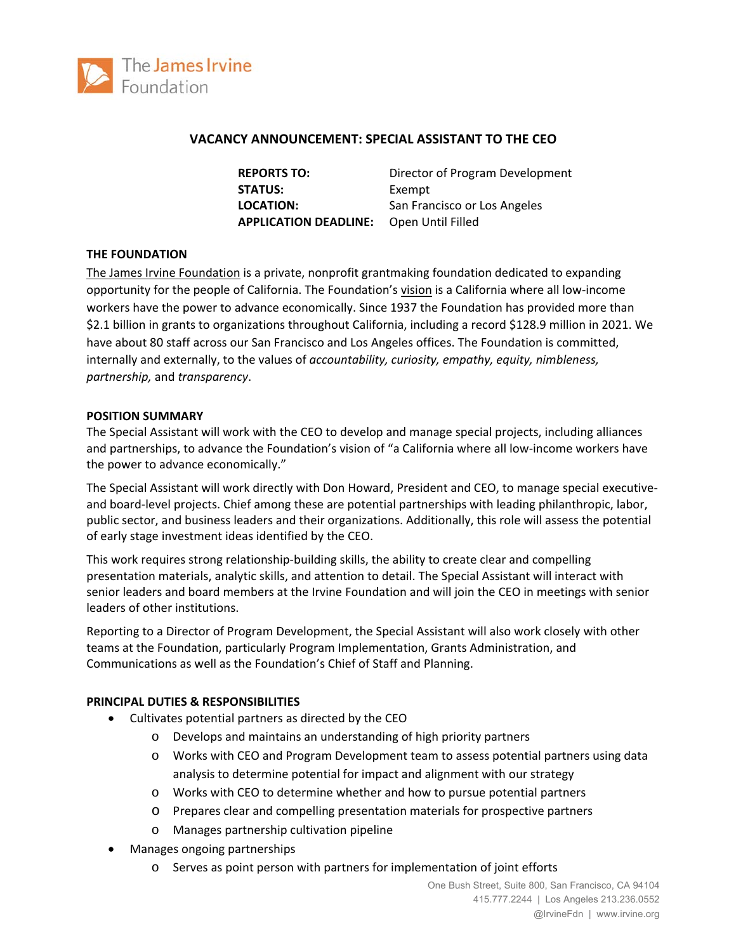

## **VACANCY ANNOUNCEMENT: SPECIAL ASSISTANT TO THE CEO**

**REPORTS TO:**  Director of Program Development STATUS: Exempt **LOCATION:** San Francisco or Los Angeles **APPLICATION DEADLINE:** Open Until Filled

## **THE FOUNDATION**

The James Irvine Foundation is a private, nonprofit grantmaking foundation dedicated to expanding opportunity for the people of California. The Foundation's vision is a California where all low‐income workers have the power to advance economically. Since 1937 the Foundation has provided more than \$2.1 billion in grants to organizations throughout California, including a record \$128.9 million in 2021. We have about 80 staff across our San Francisco and Los Angeles offices. The Foundation is committed, internally and externally, to the values of *accountability, curiosity, empathy, equity, nimbleness, partnership,* and *transparency*.

### **POSITION SUMMARY**

The Special Assistant will work with the CEO to develop and manage special projects, including alliances and partnerships, to advance the Foundation's vision of "a California where all low-income workers have the power to advance economically."

The Special Assistant will work directly with Don Howard, President and CEO, to manage special executive‐ and board-level projects. Chief among these are potential partnerships with leading philanthropic, labor, public sector, and business leaders and their organizations. Additionally, this role will assess the potential of early stage investment ideas identified by the CEO.

This work requires strong relationship‐building skills, the ability to create clear and compelling presentation materials, analytic skills, and attention to detail. The Special Assistant will interact with senior leaders and board members at the Irvine Foundation and will join the CEO in meetings with senior leaders of other institutions.

Reporting to a Director of Program Development, the Special Assistant will also work closely with other teams at the Foundation, particularly Program Implementation, Grants Administration, and Communications as well as the Foundation's Chief of Staff and Planning.

### **PRINCIPAL DUTIES & RESPONSIBILITIES**

- Cultivates potential partners as directed by the CEO
	- o Develops and maintains an understanding of high priority partners
	- o Works with CEO and Program Development team to assess potential partners using data analysis to determine potential for impact and alignment with our strategy
	- o Works with CEO to determine whether and how to pursue potential partners
	- o Prepares clear and compelling presentation materials for prospective partners
	- o Manages partnership cultivation pipeline
- Manages ongoing partnerships
	- o Serves as point person with partners for implementation of joint efforts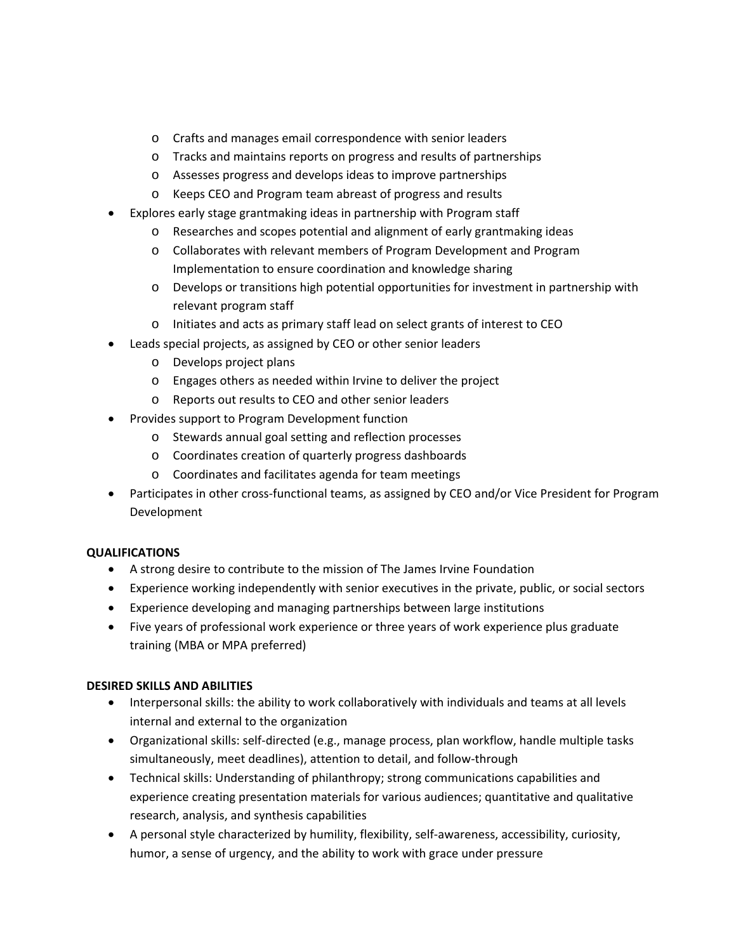- o Crafts and manages email correspondence with senior leaders
- o Tracks and maintains reports on progress and results of partnerships
- o Assesses progress and develops ideas to improve partnerships
- o Keeps CEO and Program team abreast of progress and results
- Explores early stage grantmaking ideas in partnership with Program staff
	- o Researches and scopes potential and alignment of early grantmaking ideas
	- o Collaborates with relevant members of Program Development and Program Implementation to ensure coordination and knowledge sharing
	- o Develops or transitions high potential opportunities for investment in partnership with relevant program staff
	- o Initiates and acts as primary staff lead on select grants of interest to CEO
- Leads special projects, as assigned by CEO or other senior leaders
	- o Develops project plans
	- o Engages others as needed within Irvine to deliver the project
	- o Reports out results to CEO and other senior leaders
- Provides support to Program Development function
	- o Stewards annual goal setting and reflection processes
	- o Coordinates creation of quarterly progress dashboards
	- o Coordinates and facilitates agenda for team meetings
- Participates in other cross-functional teams, as assigned by CEO and/or Vice President for Program Development

# **QUALIFICATIONS**

- A strong desire to contribute to the mission of The James Irvine Foundation
- Experience working independently with senior executives in the private, public, or social sectors
- Experience developing and managing partnerships between large institutions
- Five years of professional work experience or three years of work experience plus graduate training (MBA or MPA preferred)

# **DESIRED SKILLS AND ABILITIES**

- Interpersonal skills: the ability to work collaboratively with individuals and teams at all levels internal and external to the organization
- Organizational skills: self-directed (e.g., manage process, plan workflow, handle multiple tasks simultaneously, meet deadlines), attention to detail, and follow-through
- Technical skills: Understanding of philanthropy; strong communications capabilities and experience creating presentation materials for various audiences; quantitative and qualitative research, analysis, and synthesis capabilities
- A personal style characterized by humility, flexibility, self-awareness, accessibility, curiosity, humor, a sense of urgency, and the ability to work with grace under pressure